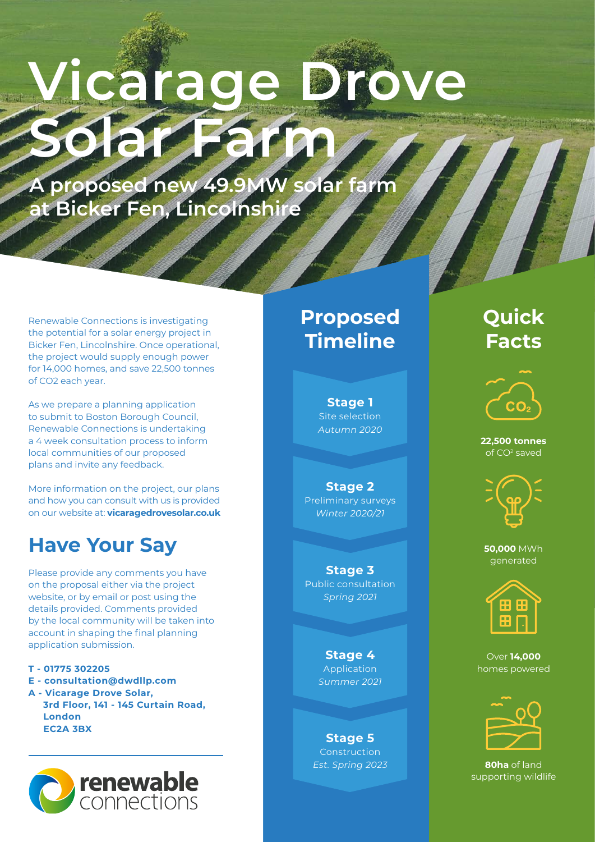# **Vicarage Solar Farm**

**A proposed new 49.9MW solar farm at Bicker Fen, Lincolnshire**

Renewable Connections is investigating the potential for a solar energy project in Bicker Fen, Lincolnshire. Once operational, the project would supply enough power for 14,000 homes, and save 22,500 tonnes of CO2 each year.

As we prepare a planning application to submit to Boston Borough Council, Renewable Connections is undertaking a 4 week consultation process to inform local communities of our proposed plans and invite any feedback.

More information on the project, our plans and how you can consult with us is provided on our website at: **vicaragedrovesolar.co.uk**

## **Have Your Say**

Please provide any comments you have on the proposal either via the project website, or by email or post using the details provided. Comments provided by the local community will be taken into account in shaping the final planning application submission.

**T - 01775 302205**

- **E consultation@dwdllp.com**
- **A Vicarage Drove Solar, 3rd Floor, 141 - 145 Curtain Road, London EC2A 3BX**



## **Proposed Timeline**

**Stage 1** Site selection *Autumn 2020*

**Stage 2** Preliminary surveys *Winter 2020/21*

**Stage 3** Public consultation *Spring 2021*

> **Stage 4** Application *Summer 2021*

**Stage 5** Construction *Est. Spring 2023*

## **Quick Facts**



**22,500 tonnes** of CO2 saved



**50,000** MWh generated



Over **14,000**  homes powered



**80ha** of land supporting wildlife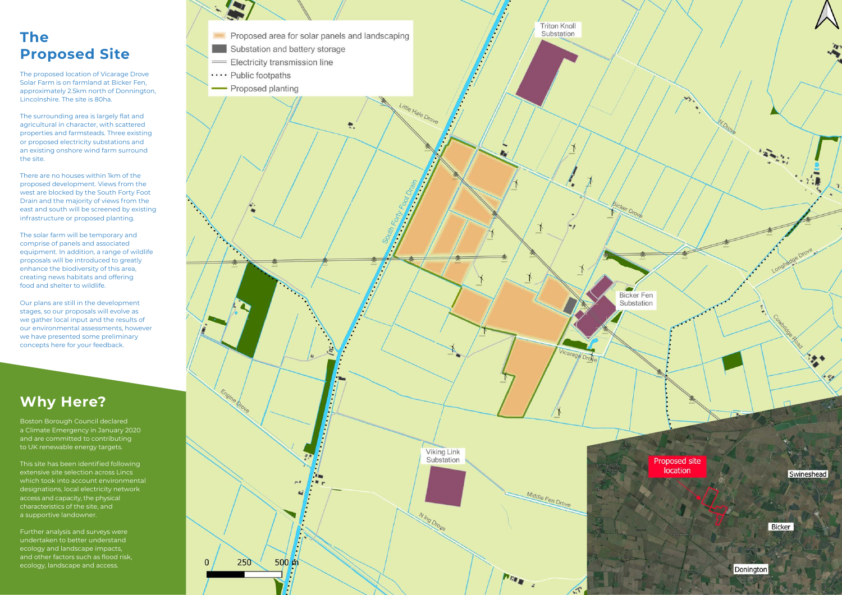## **Why Here?**

Boston Borough Council declared a Climate Emergency in January 2020 and are committed to contributing to UK renewable energy targets.

This site has been identified following extensive site selection across Lincs which took into account environmental designations, local electricity network access and capacity, the physical characteristics of the site, and a supportive landowner.

Further analysis and surveys were undertaken to better understand ecology and landscape impacts, and other factors such as flood risk, ecology, landscape and access.



## **The Proposed Site**

The proposed location of Vicarage Drove Solar Farm is on farmland at Bicker Fen, approximately 2.5km north of Donnington, Lincolnshire. The site is 80ha.

The surrounding area is largely flat and agricultural in character, with scattered properties and farmsteads. Three existing or proposed electricity substations and an existing onshore wind farm surround the site.

There are no houses within 1km of the proposed development. Views from the west are blocked by the South Forty Foot Drain and the majority of views from the east and south will be screened by existing infrastructure or proposed planting.

The solar farm will be temporary and comprise of panels and associated equipment. In addition, a range of wildlife proposals will be introduced to greatly enhance the biodiversity of this area, creating news habitats and offering food and shelter to wildlife.

Our plans are still in the development stages, so our proposals will evolve as we gather local input and the results of our environmental assessments, however we have presented some preliminary concepts here for your feedback.